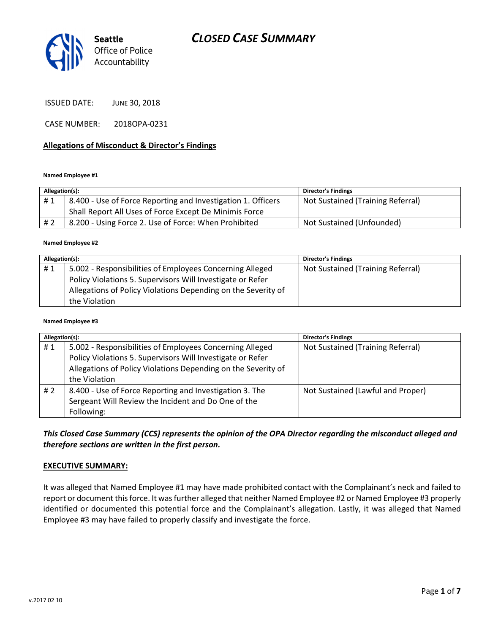

ISSUED DATE: JUNE 30, 2018

CASE NUMBER: 2018OPA-0231

#### Allegations of Misconduct & Director's Findings

#### Named Employee #1

| Allegation(s): |                                                              | <b>Director's Findings</b>        |
|----------------|--------------------------------------------------------------|-----------------------------------|
| #1             | 8.400 - Use of Force Reporting and Investigation 1. Officers | Not Sustained (Training Referral) |
|                | Shall Report All Uses of Force Except De Minimis Force       |                                   |
| # 2            | 8.200 - Using Force 2. Use of Force: When Prohibited         | Not Sustained (Unfounded)         |

#### Named Employee #2

| Allegation(s): |                                                               | <b>Director's Findings</b>        |
|----------------|---------------------------------------------------------------|-----------------------------------|
| #1             | 5.002 - Responsibilities of Employees Concerning Alleged      | Not Sustained (Training Referral) |
|                | Policy Violations 5. Supervisors Will Investigate or Refer    |                                   |
|                | Allegations of Policy Violations Depending on the Severity of |                                   |
|                | the Violation                                                 |                                   |

#### Named Employee #3

| Allegation(s): |                                                                                                                                                                                                          | <b>Director's Findings</b>        |
|----------------|----------------------------------------------------------------------------------------------------------------------------------------------------------------------------------------------------------|-----------------------------------|
| #1             | 5.002 - Responsibilities of Employees Concerning Alleged<br>Policy Violations 5. Supervisors Will Investigate or Refer<br>Allegations of Policy Violations Depending on the Severity of<br>the Violation | Not Sustained (Training Referral) |
| #2             | 8.400 - Use of Force Reporting and Investigation 3. The<br>Sergeant Will Review the Incident and Do One of the<br>Following:                                                                             | Not Sustained (Lawful and Proper) |

# This Closed Case Summary (CCS) represents the opinion of the OPA Director regarding the misconduct alleged and therefore sections are written in the first person.

#### EXECUTIVE SUMMARY:

It was alleged that Named Employee #1 may have made prohibited contact with the Complainant's neck and failed to report or document this force. It was further alleged that neither Named Employee #2 or Named Employee #3 properly identified or documented this potential force and the Complainant's allegation. Lastly, it was alleged that Named Employee #3 may have failed to properly classify and investigate the force.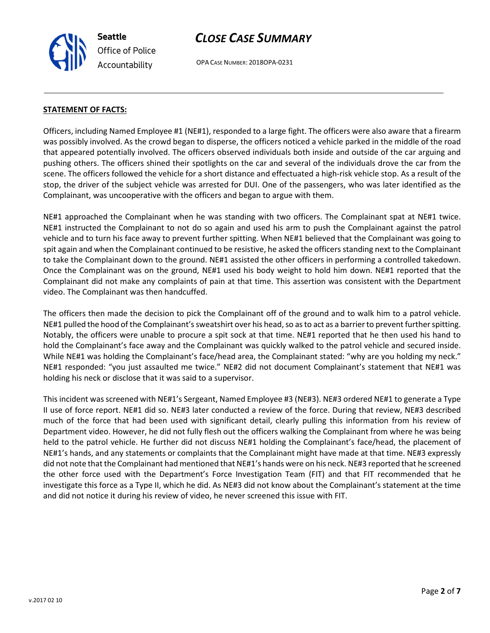

OPA CASE NUMBER: 2018OPA-0231

### STATEMENT OF FACTS:

Officers, including Named Employee #1 (NE#1), responded to a large fight. The officers were also aware that a firearm was possibly involved. As the crowd began to disperse, the officers noticed a vehicle parked in the middle of the road that appeared potentially involved. The officers observed individuals both inside and outside of the car arguing and pushing others. The officers shined their spotlights on the car and several of the individuals drove the car from the scene. The officers followed the vehicle for a short distance and effectuated a high-risk vehicle stop. As a result of the stop, the driver of the subject vehicle was arrested for DUI. One of the passengers, who was later identified as the Complainant, was uncooperative with the officers and began to argue with them.

NE#1 approached the Complainant when he was standing with two officers. The Complainant spat at NE#1 twice. NE#1 instructed the Complainant to not do so again and used his arm to push the Complainant against the patrol vehicle and to turn his face away to prevent further spitting. When NE#1 believed that the Complainant was going to spit again and when the Complainant continued to be resistive, he asked the officers standing next to the Complainant to take the Complainant down to the ground. NE#1 assisted the other officers in performing a controlled takedown. Once the Complainant was on the ground, NE#1 used his body weight to hold him down. NE#1 reported that the Complainant did not make any complaints of pain at that time. This assertion was consistent with the Department video. The Complainant was then handcuffed.

The officers then made the decision to pick the Complainant off of the ground and to walk him to a patrol vehicle. NE#1 pulled the hood of the Complainant's sweatshirt over his head, so as to act as a barrier to prevent further spitting. Notably, the officers were unable to procure a spit sock at that time. NE#1 reported that he then used his hand to hold the Complainant's face away and the Complainant was quickly walked to the patrol vehicle and secured inside. While NE#1 was holding the Complainant's face/head area, the Complainant stated: "why are you holding my neck." NE#1 responded: "you just assaulted me twice." NE#2 did not document Complainant's statement that NE#1 was holding his neck or disclose that it was said to a supervisor.

This incident was screened with NE#1's Sergeant, Named Employee #3 (NE#3). NE#3 ordered NE#1 to generate a Type II use of force report. NE#1 did so. NE#3 later conducted a review of the force. During that review, NE#3 described much of the force that had been used with significant detail, clearly pulling this information from his review of Department video. However, he did not fully flesh out the officers walking the Complainant from where he was being held to the patrol vehicle. He further did not discuss NE#1 holding the Complainant's face/head, the placement of NE#1's hands, and any statements or complaints that the Complainant might have made at that time. NE#3 expressly did not note that the Complainant had mentioned that NE#1's hands were on his neck. NE#3 reported that he screened the other force used with the Department's Force Investigation Team (FIT) and that FIT recommended that he investigate this force as a Type II, which he did. As NE#3 did not know about the Complainant's statement at the time and did not notice it during his review of video, he never screened this issue with FIT.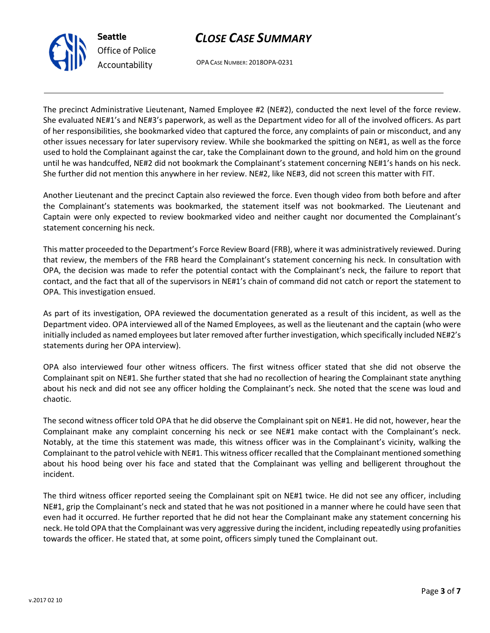

OPA CASE NUMBER: 2018OPA-0231

The precinct Administrative Lieutenant, Named Employee #2 (NE#2), conducted the next level of the force review. She evaluated NE#1's and NE#3's paperwork, as well as the Department video for all of the involved officers. As part of her responsibilities, she bookmarked video that captured the force, any complaints of pain or misconduct, and any other issues necessary for later supervisory review. While she bookmarked the spitting on NE#1, as well as the force used to hold the Complainant against the car, take the Complainant down to the ground, and hold him on the ground until he was handcuffed, NE#2 did not bookmark the Complainant's statement concerning NE#1's hands on his neck. She further did not mention this anywhere in her review. NE#2, like NE#3, did not screen this matter with FIT.

Another Lieutenant and the precinct Captain also reviewed the force. Even though video from both before and after the Complainant's statements was bookmarked, the statement itself was not bookmarked. The Lieutenant and Captain were only expected to review bookmarked video and neither caught nor documented the Complainant's statement concerning his neck.

This matter proceeded to the Department's Force Review Board (FRB), where it was administratively reviewed. During that review, the members of the FRB heard the Complainant's statement concerning his neck. In consultation with OPA, the decision was made to refer the potential contact with the Complainant's neck, the failure to report that contact, and the fact that all of the supervisors in NE#1's chain of command did not catch or report the statement to OPA. This investigation ensued.

As part of its investigation, OPA reviewed the documentation generated as a result of this incident, as well as the Department video. OPA interviewed all of the Named Employees, as well as the lieutenant and the captain (who were initially included as named employees but later removed after further investigation, which specifically included NE#2's statements during her OPA interview).

OPA also interviewed four other witness officers. The first witness officer stated that she did not observe the Complainant spit on NE#1. She further stated that she had no recollection of hearing the Complainant state anything about his neck and did not see any officer holding the Complainant's neck. She noted that the scene was loud and chaotic.

The second witness officer told OPA that he did observe the Complainant spit on NE#1. He did not, however, hear the Complainant make any complaint concerning his neck or see NE#1 make contact with the Complainant's neck. Notably, at the time this statement was made, this witness officer was in the Complainant's vicinity, walking the Complainant to the patrol vehicle with NE#1. This witness officer recalled that the Complainant mentioned something about his hood being over his face and stated that the Complainant was yelling and belligerent throughout the incident.

The third witness officer reported seeing the Complainant spit on NE#1 twice. He did not see any officer, including NE#1, grip the Complainant's neck and stated that he was not positioned in a manner where he could have seen that even had it occurred. He further reported that he did not hear the Complainant make any statement concerning his neck. He told OPA that the Complainant was very aggressive during the incident, including repeatedly using profanities towards the officer. He stated that, at some point, officers simply tuned the Complainant out.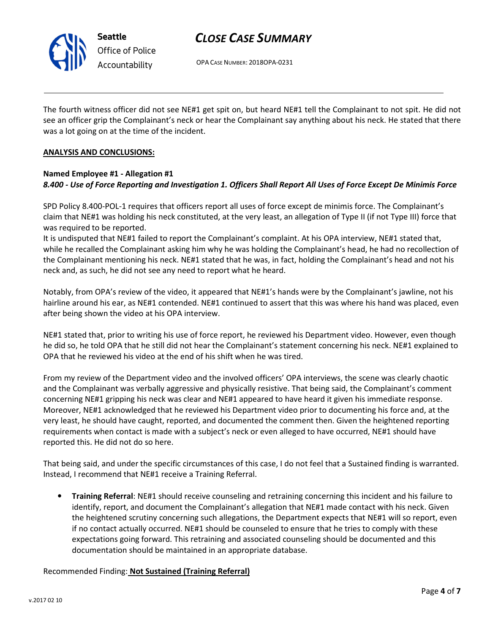

OPA CASE NUMBER: 2018OPA-0231

The fourth witness officer did not see NE#1 get spit on, but heard NE#1 tell the Complainant to not spit. He did not see an officer grip the Complainant's neck or hear the Complainant say anything about his neck. He stated that there was a lot going on at the time of the incident.

### ANALYSIS AND CONCLUSIONS:

### Named Employee #1 - Allegation #1 8.400 - Use of Force Reporting and Investigation 1. Officers Shall Report All Uses of Force Except De Minimis Force

SPD Policy 8.400-POL-1 requires that officers report all uses of force except de minimis force. The Complainant's claim that NE#1 was holding his neck constituted, at the very least, an allegation of Type II (if not Type III) force that was required to be reported.

It is undisputed that NE#1 failed to report the Complainant's complaint. At his OPA interview, NE#1 stated that, while he recalled the Complainant asking him why he was holding the Complainant's head, he had no recollection of the Complainant mentioning his neck. NE#1 stated that he was, in fact, holding the Complainant's head and not his neck and, as such, he did not see any need to report what he heard.

Notably, from OPA's review of the video, it appeared that NE#1's hands were by the Complainant's jawline, not his hairline around his ear, as NE#1 contended. NE#1 continued to assert that this was where his hand was placed, even after being shown the video at his OPA interview.

NE#1 stated that, prior to writing his use of force report, he reviewed his Department video. However, even though he did so, he told OPA that he still did not hear the Complainant's statement concerning his neck. NE#1 explained to OPA that he reviewed his video at the end of his shift when he was tired.

From my review of the Department video and the involved officers' OPA interviews, the scene was clearly chaotic and the Complainant was verbally aggressive and physically resistive. That being said, the Complainant's comment concerning NE#1 gripping his neck was clear and NE#1 appeared to have heard it given his immediate response. Moreover, NE#1 acknowledged that he reviewed his Department video prior to documenting his force and, at the very least, he should have caught, reported, and documented the comment then. Given the heightened reporting requirements when contact is made with a subject's neck or even alleged to have occurred, NE#1 should have reported this. He did not do so here.

That being said, and under the specific circumstances of this case, I do not feel that a Sustained finding is warranted. Instead, I recommend that NE#1 receive a Training Referral.

• Training Referral: NE#1 should receive counseling and retraining concerning this incident and his failure to identify, report, and document the Complainant's allegation that NE#1 made contact with his neck. Given the heightened scrutiny concerning such allegations, the Department expects that NE#1 will so report, even if no contact actually occurred. NE#1 should be counseled to ensure that he tries to comply with these expectations going forward. This retraining and associated counseling should be documented and this documentation should be maintained in an appropriate database.

### Recommended Finding: Not Sustained (Training Referral)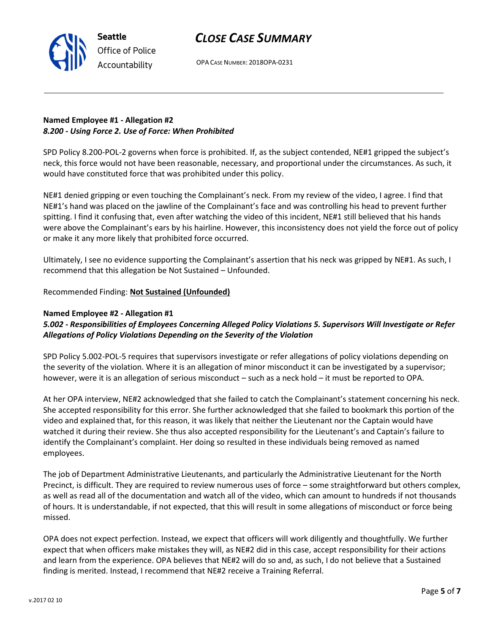

OPA CASE NUMBER: 2018OPA-0231

# Named Employee #1 - Allegation #2 8.200 - Using Force 2. Use of Force: When Prohibited

SPD Policy 8.200-POL-2 governs when force is prohibited. If, as the subject contended, NE#1 gripped the subject's neck, this force would not have been reasonable, necessary, and proportional under the circumstances. As such, it would have constituted force that was prohibited under this policy.

NE#1 denied gripping or even touching the Complainant's neck. From my review of the video, I agree. I find that NE#1's hand was placed on the jawline of the Complainant's face and was controlling his head to prevent further spitting. I find it confusing that, even after watching the video of this incident, NE#1 still believed that his hands were above the Complainant's ears by his hairline. However, this inconsistency does not yield the force out of policy or make it any more likely that prohibited force occurred.

Ultimately, I see no evidence supporting the Complainant's assertion that his neck was gripped by NE#1. As such, I recommend that this allegation be Not Sustained – Unfounded.

# Recommended Finding: Not Sustained (Unfounded)

# Named Employee #2 - Allegation #1

# 5.002 - Responsibilities of Employees Concerning Alleged Policy Violations 5. Supervisors Will Investigate or Refer Allegations of Policy Violations Depending on the Severity of the Violation

SPD Policy 5.002-POL-5 requires that supervisors investigate or refer allegations of policy violations depending on the severity of the violation. Where it is an allegation of minor misconduct it can be investigated by a supervisor; however, were it is an allegation of serious misconduct – such as a neck hold – it must be reported to OPA.

At her OPA interview, NE#2 acknowledged that she failed to catch the Complainant's statement concerning his neck. She accepted responsibility for this error. She further acknowledged that she failed to bookmark this portion of the video and explained that, for this reason, it was likely that neither the Lieutenant nor the Captain would have watched it during their review. She thus also accepted responsibility for the Lieutenant's and Captain's failure to identify the Complainant's complaint. Her doing so resulted in these individuals being removed as named employees.

The job of Department Administrative Lieutenants, and particularly the Administrative Lieutenant for the North Precinct, is difficult. They are required to review numerous uses of force – some straightforward but others complex, as well as read all of the documentation and watch all of the video, which can amount to hundreds if not thousands of hours. It is understandable, if not expected, that this will result in some allegations of misconduct or force being missed.

OPA does not expect perfection. Instead, we expect that officers will work diligently and thoughtfully. We further expect that when officers make mistakes they will, as NE#2 did in this case, accept responsibility for their actions and learn from the experience. OPA believes that NE#2 will do so and, as such, I do not believe that a Sustained finding is merited. Instead, I recommend that NE#2 receive a Training Referral.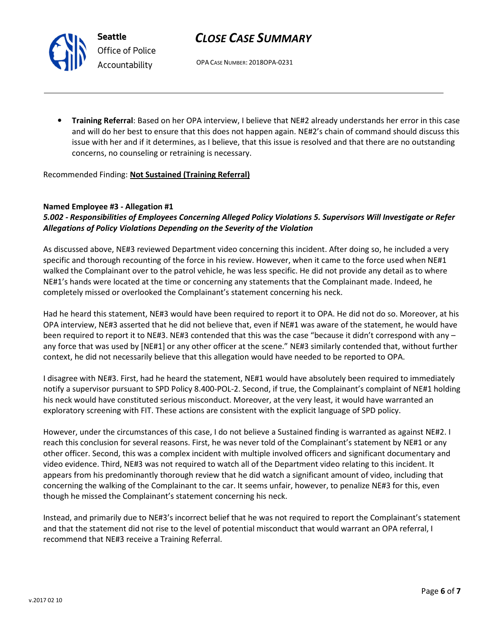OPA CASE NUMBER: 2018OPA-0231

• Training Referral: Based on her OPA interview, I believe that NE#2 already understands her error in this case and will do her best to ensure that this does not happen again. NE#2's chain of command should discuss this issue with her and if it determines, as I believe, that this issue is resolved and that there are no outstanding concerns, no counseling or retraining is necessary.

Recommended Finding: Not Sustained (Training Referral)

### Named Employee #3 - Allegation #1

# 5.002 - Responsibilities of Employees Concerning Alleged Policy Violations 5. Supervisors Will Investigate or Refer Allegations of Policy Violations Depending on the Severity of the Violation

As discussed above, NE#3 reviewed Department video concerning this incident. After doing so, he included a very specific and thorough recounting of the force in his review. However, when it came to the force used when NE#1 walked the Complainant over to the patrol vehicle, he was less specific. He did not provide any detail as to where NE#1's hands were located at the time or concerning any statements that the Complainant made. Indeed, he completely missed or overlooked the Complainant's statement concerning his neck.

Had he heard this statement, NE#3 would have been required to report it to OPA. He did not do so. Moreover, at his OPA interview, NE#3 asserted that he did not believe that, even if NE#1 was aware of the statement, he would have been required to report it to NE#3. NE#3 contended that this was the case "because it didn't correspond with any – any force that was used by [NE#1] or any other officer at the scene." NE#3 similarly contended that, without further context, he did not necessarily believe that this allegation would have needed to be reported to OPA.

I disagree with NE#3. First, had he heard the statement, NE#1 would have absolutely been required to immediately notify a supervisor pursuant to SPD Policy 8.400-POL-2. Second, if true, the Complainant's complaint of NE#1 holding his neck would have constituted serious misconduct. Moreover, at the very least, it would have warranted an exploratory screening with FIT. These actions are consistent with the explicit language of SPD policy.

However, under the circumstances of this case, I do not believe a Sustained finding is warranted as against NE#2. I reach this conclusion for several reasons. First, he was never told of the Complainant's statement by NE#1 or any other officer. Second, this was a complex incident with multiple involved officers and significant documentary and video evidence. Third, NE#3 was not required to watch all of the Department video relating to this incident. It appears from his predominantly thorough review that he did watch a significant amount of video, including that concerning the walking of the Complainant to the car. It seems unfair, however, to penalize NE#3 for this, even though he missed the Complainant's statement concerning his neck.

Instead, and primarily due to NE#3's incorrect belief that he was not required to report the Complainant's statement and that the statement did not rise to the level of potential misconduct that would warrant an OPA referral, I recommend that NE#3 receive a Training Referral.



Seattle Office of Police Accountability